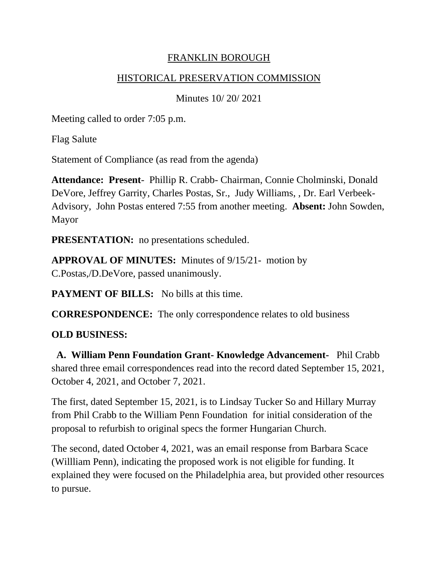#### FRANKLIN BOROUGH

#### HISTORICAL PRESERVATION COMMISSION

Minutes 10/ 20/ 2021

Meeting called to order 7:05 p.m.

Flag Salute

Statement of Compliance (as read from the agenda)

**Attendance: Present**- Phillip R. Crabb- Chairman, Connie Cholminski, Donald DeVore, Jeffrey Garrity, Charles Postas, Sr., Judy Williams, , Dr. Earl Verbeek-Advisory, John Postas entered 7:55 from another meeting. **Absent:** John Sowden, Mayor

**PRESENTATION:** no presentations scheduled.

**APPROVAL OF MINUTES:** Minutes of 9/15/21- motion by C.Postas,/D.DeVore, passed unanimously.

**PAYMENT OF BILLS:** No bills at this time.

**CORRESPONDENCE:** The only correspondence relates to old business

#### **OLD BUSINESS:**

**A. William Penn Foundation Grant- Knowledge Advancement-** Phil Crabb shared three email correspondences read into the record dated September 15, 2021, October 4, 2021, and October 7, 2021.

The first, dated September 15, 2021, is to Lindsay Tucker So and Hillary Murray from Phil Crabb to the William Penn Foundation for initial consideration of the proposal to refurbish to original specs the former Hungarian Church.

The second, dated October 4, 2021, was an email response from Barbara Scace (Willliam Penn), indicating the proposed work is not eligible for funding. It explained they were focused on the Philadelphia area, but provided other resources to pursue.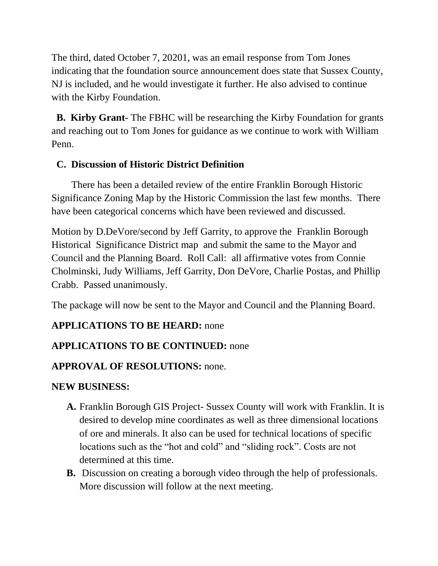The third, dated October 7, 20201, was an email response from Tom Jones indicating that the foundation source announcement does state that Sussex County, NJ is included, and he would investigate it further. He also advised to continue with the Kirby Foundation.

 **B. Kirby Grant-** The FBHC will be researching the Kirby Foundation for grants and reaching out to Tom Jones for guidance as we continue to work with William Penn.

### **C. Discussion of Historic District Definition**

There has been a detailed review of the entire Franklin Borough Historic Significance Zoning Map by the Historic Commission the last few months. There have been categorical concerns which have been reviewed and discussed.

Motion by D.DeVore/second by Jeff Garrity, to approve the Franklin Borough Historical Significance District map and submit the same to the Mayor and Council and the Planning Board. Roll Call: all affirmative votes from Connie Cholminski, Judy Williams, Jeff Garrity, Don DeVore, Charlie Postas, and Phillip Crabb. Passed unanimously.

The package will now be sent to the Mayor and Council and the Planning Board.

# **APPLICATIONS TO BE HEARD:** none

# **APPLICATIONS TO BE CONTINUED:** none

# **APPROVAL OF RESOLUTIONS:** none.

### **NEW BUSINESS:**

- **A.** Franklin Borough GIS Project- Sussex County will work with Franklin. It is desired to develop mine coordinates as well as three dimensional locations of ore and minerals. It also can be used for technical locations of specific locations such as the "hot and cold" and "sliding rock". Costs are not determined at this time.
- **B.** Discussion on creating a borough video through the help of professionals. More discussion will follow at the next meeting.